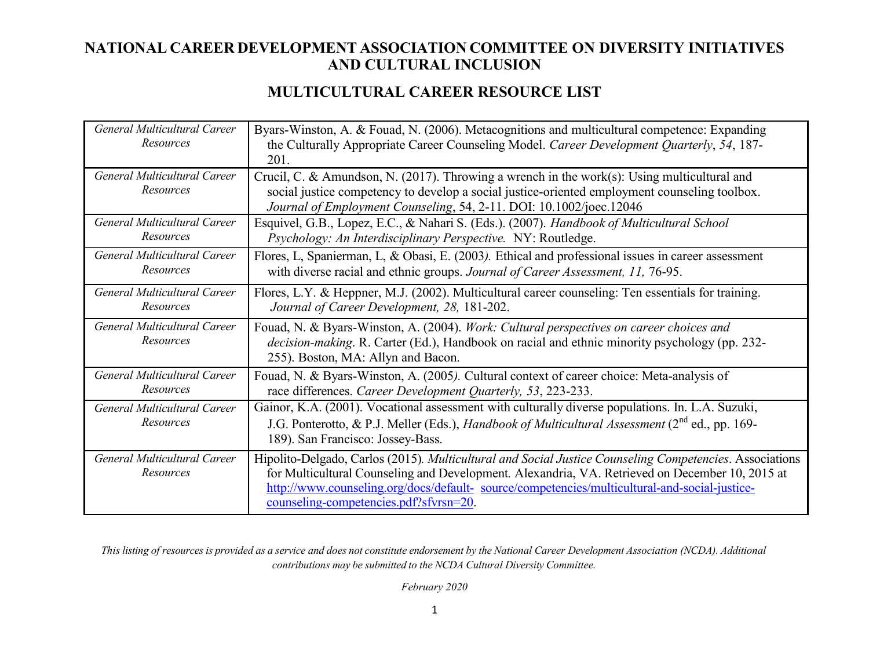### **MULTICULTURAL CAREER RESOURCE LIST**

| General Multicultural Career<br>Resources | Byars-Winston, A. & Fouad, N. (2006). Metacognitions and multicultural competence: Expanding<br>the Culturally Appropriate Career Counseling Model. Career Development Quarterly, 54, 187-<br>201.                                                                                                                                                    |
|-------------------------------------------|-------------------------------------------------------------------------------------------------------------------------------------------------------------------------------------------------------------------------------------------------------------------------------------------------------------------------------------------------------|
| General Multicultural Career<br>Resources | Crucil, C. & Amundson, N. (2017). Throwing a wrench in the work(s): Using multicultural and<br>social justice competency to develop a social justice-oriented employment counseling toolbox.<br>Journal of Employment Counseling, 54, 2-11. DOI: 10.1002/joec.12046                                                                                   |
| General Multicultural Career<br>Resources | Esquivel, G.B., Lopez, E.C., & Nahari S. (Eds.). (2007). Handbook of Multicultural School<br>Psychology: An Interdisciplinary Perspective. NY: Routledge.                                                                                                                                                                                             |
| General Multicultural Career<br>Resources | Flores, L, Spanierman, L, & Obasi, E. (2003). Ethical and professional issues in career assessment<br>with diverse racial and ethnic groups. Journal of Career Assessment, 11, 76-95.                                                                                                                                                                 |
| General Multicultural Career<br>Resources | Flores, L.Y. & Heppner, M.J. (2002). Multicultural career counseling: Ten essentials for training.<br>Journal of Career Development, 28, 181-202.                                                                                                                                                                                                     |
| General Multicultural Career<br>Resources | Fouad, N. & Byars-Winston, A. (2004). Work: Cultural perspectives on career choices and<br>decision-making. R. Carter (Ed.), Handbook on racial and ethnic minority psychology (pp. 232-<br>255). Boston, MA: Allyn and Bacon.                                                                                                                        |
| General Multicultural Career<br>Resources | Fouad, N. & Byars-Winston, A. (2005). Cultural context of career choice: Meta-analysis of<br>race differences. Career Development Quarterly, 53, 223-233.                                                                                                                                                                                             |
| General Multicultural Career<br>Resources | Gainor, K.A. (2001). Vocational assessment with culturally diverse populations. In. L.A. Suzuki,<br>J.G. Ponterotto, & P.J. Meller (Eds.), Handbook of Multicultural Assessment (2 <sup>nd</sup> ed., pp. 169-<br>189). San Francisco: Jossey-Bass.                                                                                                   |
| General Multicultural Career<br>Resources | Hipolito-Delgado, Carlos (2015). Multicultural and Social Justice Counseling Competencies. Associations<br>for Multicultural Counseling and Development. Alexandria, VA. Retrieved on December 10, 2015 at<br>http://www.counseling.org/docs/default- source/competencies/multicultural-and-social-justice-<br>counseling-competencies.pdf?sfvrsn=20. |

This listing of resources is provided as a service and does not constitute endorsement by the National Career Development Association (NCDA). Additional *contributions may be submitted to the NCDA Cultural Diversity Committee.*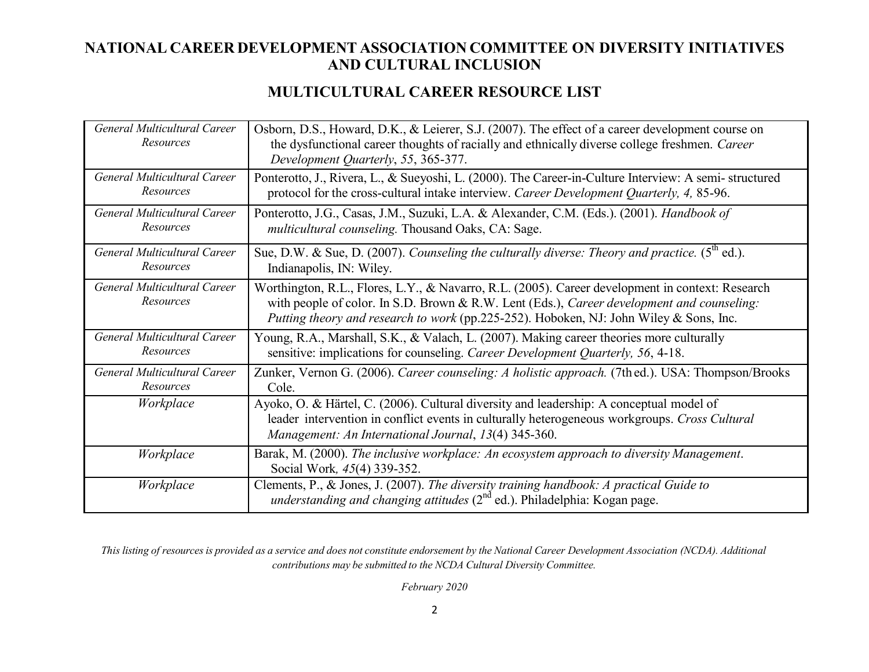#### **MULTICULTURAL CAREER RESOURCE LIST**

| General Multicultural Career<br>Resources | Osborn, D.S., Howard, D.K., & Leierer, S.J. (2007). The effect of a career development course on<br>the dysfunctional career thoughts of racially and ethnically diverse college freshmen. Career<br>Development Quarterly, 55, 365-377.                                                 |
|-------------------------------------------|------------------------------------------------------------------------------------------------------------------------------------------------------------------------------------------------------------------------------------------------------------------------------------------|
| General Multicultural Career              | Ponterotto, J., Rivera, L., & Sueyoshi, L. (2000). The Career-in-Culture Interview: A semi-structured                                                                                                                                                                                    |
| Resources                                 | protocol for the cross-cultural intake interview. Career Development Quarterly, 4, 85-96.                                                                                                                                                                                                |
| General Multicultural Career              | Ponterotto, J.G., Casas, J.M., Suzuki, L.A. & Alexander, C.M. (Eds.). (2001). Handbook of                                                                                                                                                                                                |
| Resources                                 | multicultural counseling. Thousand Oaks, CA: Sage.                                                                                                                                                                                                                                       |
| General Multicultural Career              | Sue, D.W. & Sue, D. (2007). Counseling the culturally diverse: Theory and practice. $(5^{th}$ ed.).                                                                                                                                                                                      |
| Resources                                 | Indianapolis, IN: Wiley.                                                                                                                                                                                                                                                                 |
| General Multicultural Career<br>Resources | Worthington, R.L., Flores, L.Y., & Navarro, R.L. (2005). Career development in context: Research<br>with people of color. In S.D. Brown & R.W. Lent (Eds.), Career development and counseling:<br>Putting theory and research to work (pp.225-252). Hoboken, NJ: John Wiley & Sons, Inc. |
| General Multicultural Career              | Young, R.A., Marshall, S.K., & Valach, L. (2007). Making career theories more culturally                                                                                                                                                                                                 |
| Resources                                 | sensitive: implications for counseling. Career Development Quarterly, 56, 4-18.                                                                                                                                                                                                          |
| General Multicultural Career              | Zunker, Vernon G. (2006). Career counseling: A holistic approach. (7th ed.). USA: Thompson/Brooks                                                                                                                                                                                        |
| Resources                                 | Cole.                                                                                                                                                                                                                                                                                    |
| Workplace                                 | Ayoko, O. & Härtel, C. (2006). Cultural diversity and leadership: A conceptual model of<br>leader intervention in conflict events in culturally heterogeneous workgroups. Cross Cultural<br>Management: An International Journal, 13(4) 345-360.                                         |
| Workplace                                 | Barak, M. (2000). The inclusive workplace: An ecosystem approach to diversity Management.<br>Social Work, 45(4) 339-352.                                                                                                                                                                 |
| Workplace                                 | Clements, P., & Jones, J. (2007). The diversity training handbook: A practical Guide to<br>understanding and changing attitudes $(2^{nd}$ ed.). Philadelphia: Kogan page.                                                                                                                |

This listing of resources is provided as a service and does not constitute endorsement by the National Career Development Association (NCDA). Additional *contributions may be submitted to the NCDA Cultural Diversity Committee.*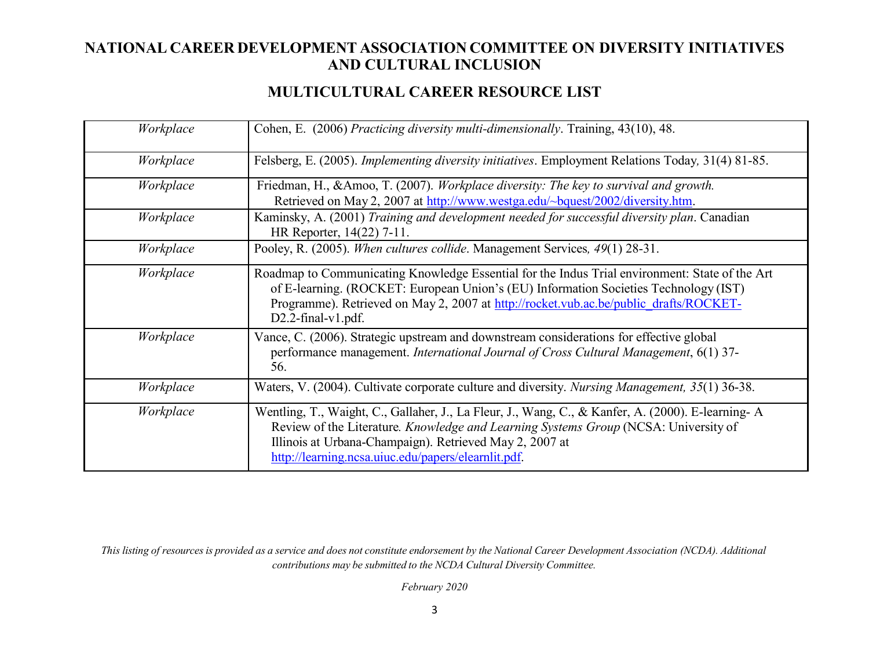#### **MULTICULTURAL CAREER RESOURCE LIST**

| Workplace | Cohen, E. (2006) Practicing diversity multi-dimensionally. Training, 43(10), 48.                                                                                                                                                                                                                           |
|-----------|------------------------------------------------------------------------------------------------------------------------------------------------------------------------------------------------------------------------------------------------------------------------------------------------------------|
| Workplace | Felsberg, E. (2005). Implementing diversity initiatives. Employment Relations Today, 31(4) 81-85.                                                                                                                                                                                                          |
| Workplace | Friedman, H., &Amoo, T. (2007). Workplace diversity: The key to survival and growth.<br>Retrieved on May 2, 2007 at http://www.westga.edu/~bquest/2002/diversity.htm.                                                                                                                                      |
| Workplace | Kaminsky, A. (2001) Training and development needed for successful diversity plan. Canadian<br>HR Reporter, 14(22) 7-11.                                                                                                                                                                                   |
| Workplace | Pooley, R. (2005). When cultures collide. Management Services, 49(1) 28-31.                                                                                                                                                                                                                                |
| Workplace | Roadmap to Communicating Knowledge Essential for the Indus Trial environment: State of the Art<br>of E-learning. (ROCKET: European Union's (EU) Information Societies Technology (IST)<br>Programme). Retrieved on May 2, 2007 at http://rocket.vub.ac.be/public_drafts/ROCKET-<br>$D2.2$ -final-v1.pdf.   |
| Workplace | Vance, C. (2006). Strategic upstream and downstream considerations for effective global<br>performance management. International Journal of Cross Cultural Management, 6(1) 37-<br>56.                                                                                                                     |
| Workplace | Waters, V. (2004). Cultivate corporate culture and diversity. Nursing Management, 35(1) 36-38.                                                                                                                                                                                                             |
| Workplace | Wentling, T., Waight, C., Gallaher, J., La Fleur, J., Wang, C., & Kanfer, A. (2000). E-learning-A<br>Review of the Literature. Knowledge and Learning Systems Group (NCSA: University of<br>Illinois at Urbana-Champaign). Retrieved May 2, 2007 at<br>http://learning.ncsa.uiuc.edu/papers/elearnlit.pdf. |

This listing of resources is provided as a service and does not constitute endorsement by the National Career Development Association (NCDA). Additional *contributions may be submitted to the NCDA Cultural Diversity Committee.*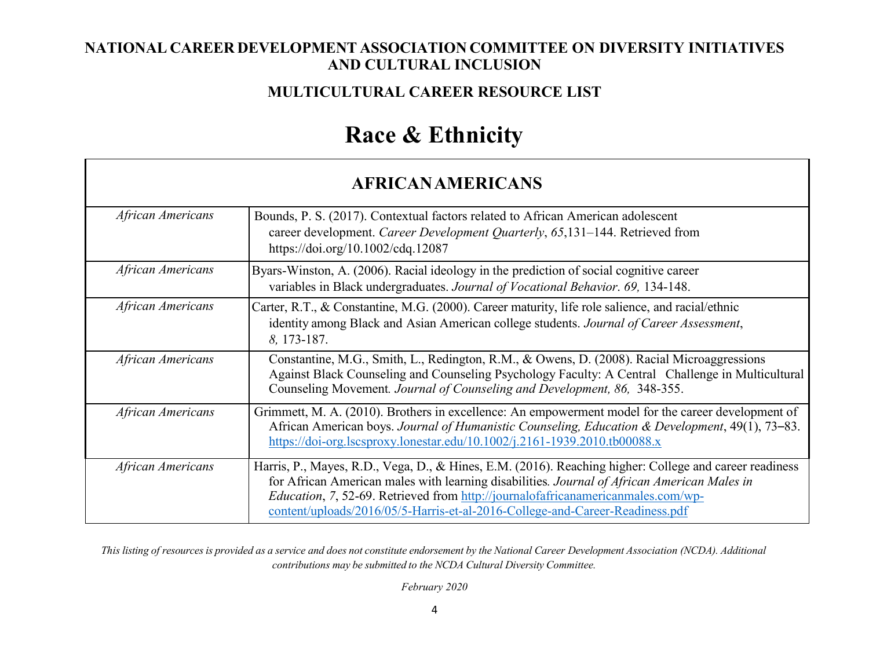### **MULTICULTURAL CAREER RESOURCE LIST**

### **Race & Ethnicity**

Г

| <b>AFRICAN AMERICANS</b> |                                                                                                                                                                                                                                                                                                                                                                                   |
|--------------------------|-----------------------------------------------------------------------------------------------------------------------------------------------------------------------------------------------------------------------------------------------------------------------------------------------------------------------------------------------------------------------------------|
| African Americans        | Bounds, P. S. (2017). Contextual factors related to African American adolescent<br>career development. Career Development Quarterly, 65,131-144. Retrieved from<br>https://doi.org/10.1002/cdq.12087                                                                                                                                                                              |
| African Americans        | Byars-Winston, A. (2006). Racial ideology in the prediction of social cognitive career<br>variables in Black undergraduates. Journal of Vocational Behavior. 69, 134-148.                                                                                                                                                                                                         |
| African Americans        | Carter, R.T., & Constantine, M.G. (2000). Career maturity, life role salience, and racial/ethnic<br>identity among Black and Asian American college students. Journal of Career Assessment,<br>8, 173-187.                                                                                                                                                                        |
| African Americans        | Constantine, M.G., Smith, L., Redington, R.M., & Owens, D. (2008). Racial Microaggressions<br>Against Black Counseling and Counseling Psychology Faculty: A Central Challenge in Multicultural<br>Counseling Movement. Journal of Counseling and Development, 86, 348-355.                                                                                                        |
| African Americans        | Grimmett, M. A. (2010). Brothers in excellence: An empowerment model for the career development of<br>African American boys. Journal of Humanistic Counseling, Education & Development, 49(1), 73-83.<br>https://doi-org.lscsproxy.lonestar.edu/10.1002/j.2161-1939.2010.tb00088.x                                                                                                |
| African Americans        | Harris, P., Mayes, R.D., Vega, D., & Hines, E.M. (2016). Reaching higher: College and career readiness<br>for African American males with learning disabilities. Journal of African American Males in<br><i>Education</i> , 7, 52-69. Retrieved from http://journalofafricanamericanmales.com/wp-<br>content/uploads/2016/05/5-Harris-et-al-2016-College-and-Career-Readiness.pdf |

This listing of resources is provided as a service and does not constitute endorsement by the National Career Development Association (NCDA). Additional *contributions may be submitted to the NCDA Cultural Diversity Committee.*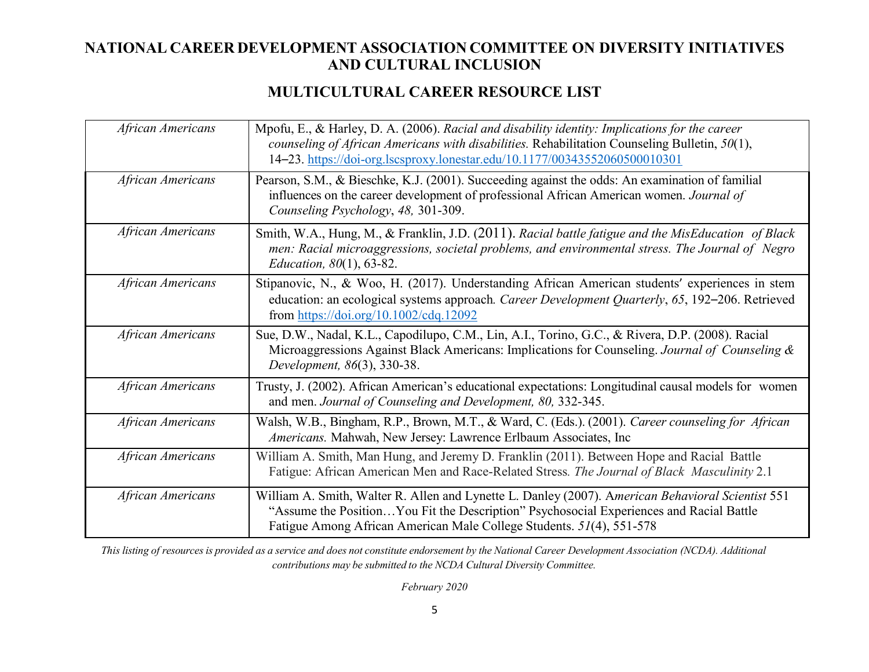#### **MULTICULTURAL CAREER RESOURCE LIST**

| African Americans | Mpofu, E., & Harley, D. A. (2006). Racial and disability identity: Implications for the career<br>counseling of African Americans with disabilities. Rehabilitation Counseling Bulletin, 50(1),<br>14-23. https://doi-org.lscsproxy.lonestar.edu/10.1177/00343552060500010301 |
|-------------------|-------------------------------------------------------------------------------------------------------------------------------------------------------------------------------------------------------------------------------------------------------------------------------|
| African Americans | Pearson, S.M., & Bieschke, K.J. (2001). Succeeding against the odds: An examination of familial<br>influences on the career development of professional African American women. Journal of<br>Counseling Psychology, 48, 301-309.                                             |
| African Americans | Smith, W.A., Hung, M., & Franklin, J.D. (2011). Racial battle fatigue and the MisEducation of Black<br>men: Racial microaggressions, societal problems, and environmental stress. The Journal of Negro<br><i>Education, 80(1), 63-82.</i>                                     |
| African Americans | Stipanovic, N., & Woo, H. (2017). Understanding African American students' experiences in stem<br>education: an ecological systems approach. Career Development Quarterly, 65, 192-206. Retrieved<br>from https://doi.org/10.1002/cdq.12092                                   |
| African Americans | Sue, D.W., Nadal, K.L., Capodilupo, C.M., Lin, A.I., Torino, G.C., & Rivera, D.P. (2008). Racial<br>Microaggressions Against Black Americans: Implications for Counseling. Journal of Counseling &<br>Development, 86(3), 330-38.                                             |
| African Americans | Trusty, J. (2002). African American's educational expectations: Longitudinal causal models for women<br>and men. Journal of Counseling and Development, 80, 332-345.                                                                                                          |
| African Americans | Walsh, W.B., Bingham, R.P., Brown, M.T., & Ward, C. (Eds.). (2001). Career counseling for African<br>Americans. Mahwah, New Jersey: Lawrence Erlbaum Associates, Inc                                                                                                          |
| African Americans | William A. Smith, Man Hung, and Jeremy D. Franklin (2011). Between Hope and Racial Battle<br>Fatigue: African American Men and Race-Related Stress. The Journal of Black Masculinity 2.1                                                                                      |
| African Americans | William A. Smith, Walter R. Allen and Lynette L. Danley (2007). American Behavioral Scientist 551<br>"Assume the PositionYou Fit the Description" Psychosocial Experiences and Racial Battle<br>Fatigue Among African American Male College Students. 51(4), 551-578          |

This listing of resources is provided as a service and does not constitute endorsement by the National Career Development Association (NCDA). Additional *contributions may be submitted to the NCDA Cultural Diversity Committee.*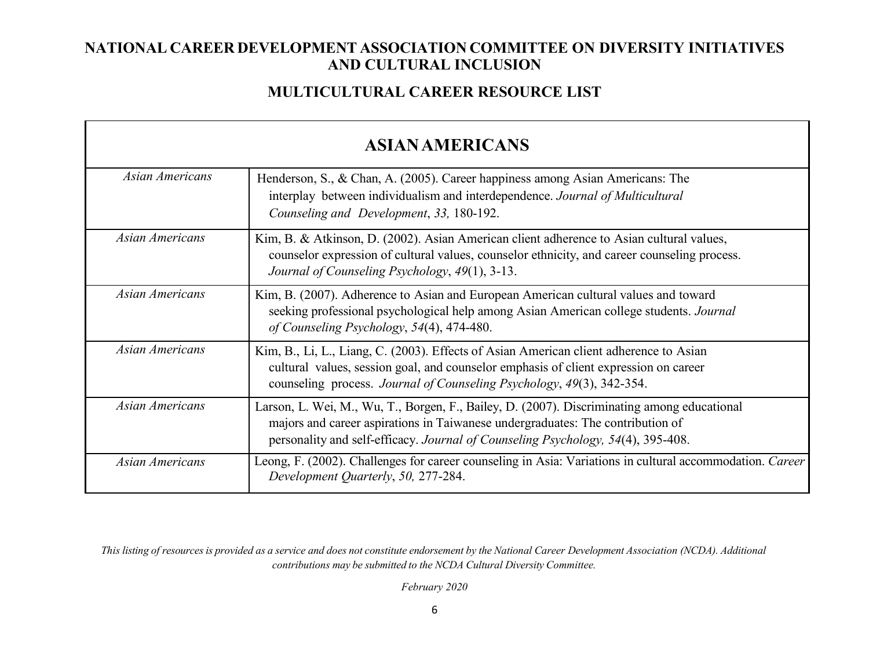#### **MULTICULTURAL CAREER RESOURCE LIST**

| <b>ASIAN AMERICANS</b> |                                                                                                                                                                                                                                                                   |
|------------------------|-------------------------------------------------------------------------------------------------------------------------------------------------------------------------------------------------------------------------------------------------------------------|
| Asian Americans        | Henderson, S., & Chan, A. (2005). Career happiness among Asian Americans: The<br>interplay between individualism and interdependence. Journal of Multicultural<br>Counseling and Development, 33, 180-192.                                                        |
| Asian Americans        | Kim, B. & Atkinson, D. (2002). Asian American client adherence to Asian cultural values,<br>counselor expression of cultural values, counselor ethnicity, and career counseling process.<br>Journal of Counseling Psychology, 49(1), 3-13.                        |
| <b>Asian Americans</b> | Kim, B. (2007). Adherence to Asian and European American cultural values and toward<br>seeking professional psychological help among Asian American college students. Journal<br>of Counseling Psychology, 54(4), 474-480.                                        |
| Asian Americans        | Kim, B., Li, L., Liang, C. (2003). Effects of Asian American client adherence to Asian<br>cultural values, session goal, and counselor emphasis of client expression on career<br>counseling process. Journal of Counseling Psychology, 49(3), 342-354.           |
| Asian Americans        | Larson, L. Wei, M., Wu, T., Borgen, F., Bailey, D. (2007). Discriminating among educational<br>majors and career aspirations in Taiwanese undergraduates: The contribution of<br>personality and self-efficacy. Journal of Counseling Psychology, 54(4), 395-408. |
| <b>Asian Americans</b> | Leong, F. (2002). Challenges for career counseling in Asia: Variations in cultural accommodation. Career<br>Development Quarterly, 50, 277-284.                                                                                                                   |

This listing of resources is provided as a service and does not constitute endorsement by the National Career Development Association (NCDA). Additional *contributions may be submitted to the NCDA Cultural Diversity Committee.*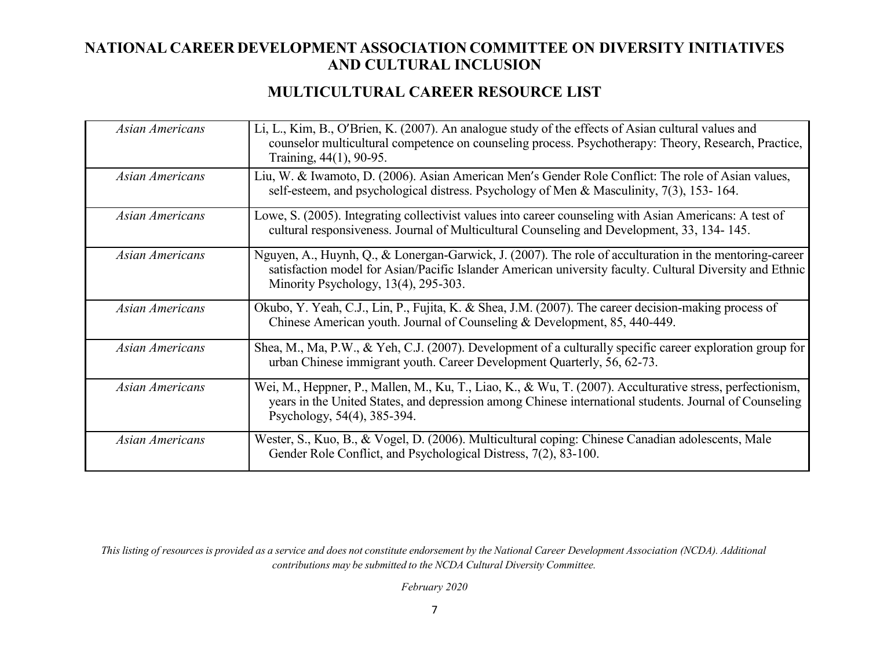#### **MULTICULTURAL CAREER RESOURCE LIST**

| Asian Americans        | Li, L., Kim, B., O'Brien, K. (2007). An analogue study of the effects of Asian cultural values and<br>counselor multicultural competence on counseling process. Psychotherapy: Theory, Research, Practice,<br>Training, 44(1), 90-95.                       |
|------------------------|-------------------------------------------------------------------------------------------------------------------------------------------------------------------------------------------------------------------------------------------------------------|
| <b>Asian Americans</b> | Liu, W. & Iwamoto, D. (2006). Asian American Men's Gender Role Conflict: The role of Asian values,<br>self-esteem, and psychological distress. Psychology of Men & Masculinity, 7(3), 153-164.                                                              |
| Asian Americans        | Lowe, S. (2005). Integrating collectivist values into career counseling with Asian Americans: A test of<br>cultural responsiveness. Journal of Multicultural Counseling and Development, 33, 134-145.                                                       |
| Asian Americans        | Nguyen, A., Huynh, Q., & Lonergan-Garwick, J. (2007). The role of acculturation in the mentoring-career<br>satisfaction model for Asian/Pacific Islander American university faculty. Cultural Diversity and Ethnic<br>Minority Psychology, 13(4), 295-303. |
| <b>Asian Americans</b> | Okubo, Y. Yeah, C.J., Lin, P., Fujita, K. & Shea, J.M. (2007). The career decision-making process of<br>Chinese American youth. Journal of Counseling & Development, 85, 440-449.                                                                           |
| <b>Asian Americans</b> | Shea, M., Ma, P.W., & Yeh, C.J. (2007). Development of a culturally specific career exploration group for<br>urban Chinese immigrant youth. Career Development Quarterly, 56, 62-73.                                                                        |
| <b>Asian Americans</b> | Wei, M., Heppner, P., Mallen, M., Ku, T., Liao, K., & Wu, T. (2007). Acculturative stress, perfectionism,<br>years in the United States, and depression among Chinese international students. Journal of Counseling<br>Psychology, 54(4), 385-394.          |
| Asian Americans        | Wester, S., Kuo, B., & Vogel, D. (2006). Multicultural coping: Chinese Canadian adolescents, Male<br>Gender Role Conflict, and Psychological Distress, 7(2), 83-100.                                                                                        |

This listing of resources is provided as a service and does not constitute endorsement by the National Career Development Association (NCDA). Additional *contributions may be submitted to the NCDA Cultural Diversity Committee.*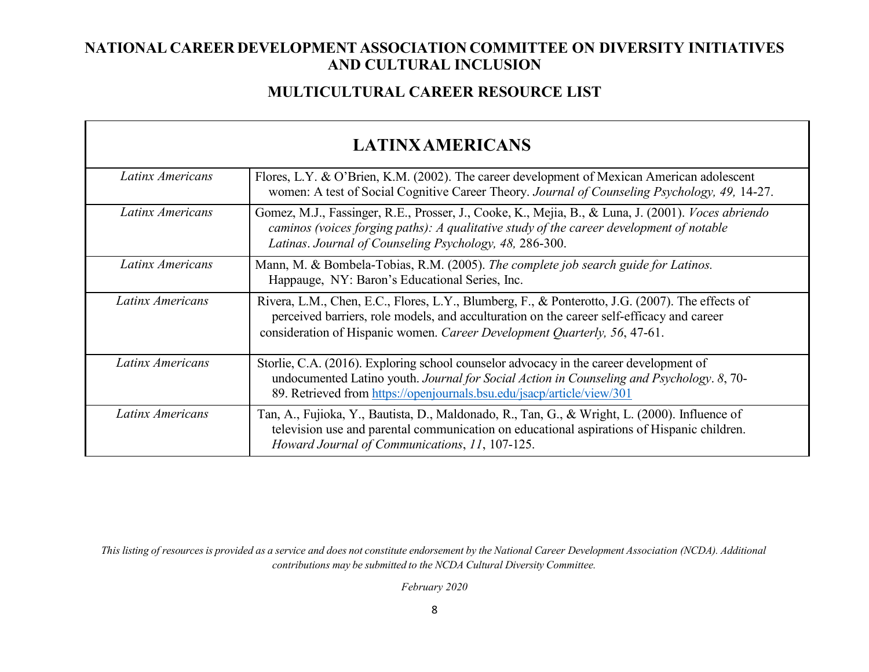### **MULTICULTURAL CAREER RESOURCE LIST**

 $\mathsf T$ 

|                         | <b>LATINXAMERICANS</b>                                                                                                                                                                                                                                                    |  |
|-------------------------|---------------------------------------------------------------------------------------------------------------------------------------------------------------------------------------------------------------------------------------------------------------------------|--|
| Latinx Americans        | Flores, L.Y. & O'Brien, K.M. (2002). The career development of Mexican American adolescent<br>women: A test of Social Cognitive Career Theory. Journal of Counseling Psychology, 49, 14-27.                                                                               |  |
| Latinx Americans        | Gomez, M.J., Fassinger, R.E., Prosser, J., Cooke, K., Mejia, B., & Luna, J. (2001). <i>Voces abriendo</i><br>caminos (voices forging paths): A qualitative study of the career development of notable<br>Latinas. Journal of Counseling Psychology, 48, 286-300.          |  |
| Latinx Americans        | Mann, M. & Bombela-Tobias, R.M. (2005). The complete job search guide for Latinos.<br>Happauge, NY: Baron's Educational Series, Inc.                                                                                                                                      |  |
| <b>Latinx Americans</b> | Rivera, L.M., Chen, E.C., Flores, L.Y., Blumberg, F., & Ponterotto, J.G. (2007). The effects of<br>perceived barriers, role models, and acculturation on the career self-efficacy and career<br>consideration of Hispanic women. Career Development Quarterly, 56, 47-61. |  |
| Latinx Americans        | Storlie, C.A. (2016). Exploring school counselor advocacy in the career development of<br>undocumented Latino youth. Journal for Social Action in Counseling and Psychology. 8, 70-<br>89. Retrieved from https://openjournals.bsu.edu/jsacp/article/view/301             |  |
| Latinx Americans        | Tan, A., Fujioka, Y., Bautista, D., Maldonado, R., Tan, G., & Wright, L. (2000). Influence of<br>television use and parental communication on educational aspirations of Hispanic children.<br>Howard Journal of Communications, 11, 107-125.                             |  |

This listing of resources is provided as a service and does not constitute endorsement by the National Career Development Association (NCDA). Additional *contributions may be submitted to the NCDA Cultural Diversity Committee.*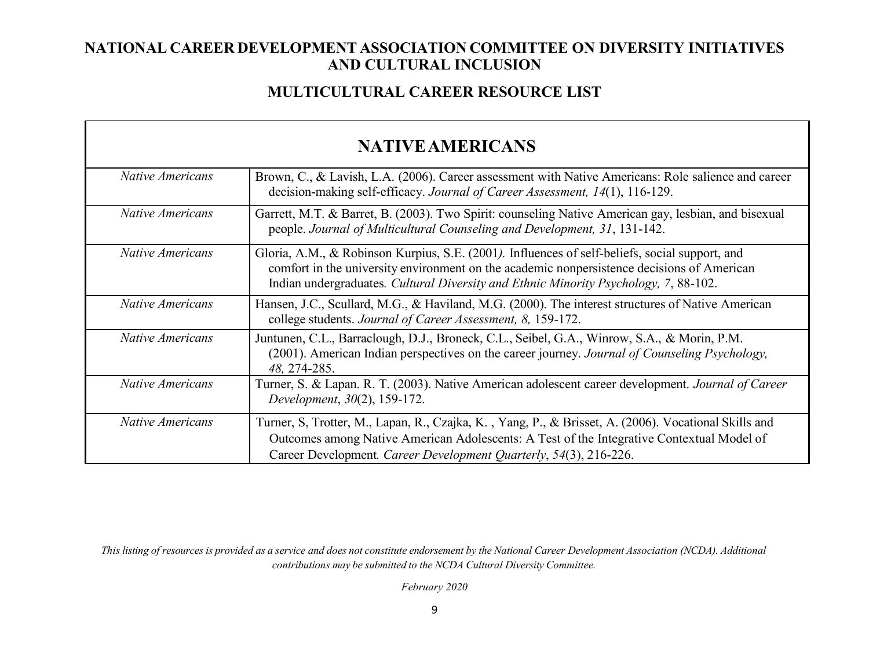#### **MULTICULTURAL CAREER RESOURCE LIST**

Г

|                         | <b>NATIVE AMERICANS</b>                                                                                                                                                                                                                                                              |  |
|-------------------------|--------------------------------------------------------------------------------------------------------------------------------------------------------------------------------------------------------------------------------------------------------------------------------------|--|
| <i>Native Americans</i> | Brown, C., & Lavish, L.A. (2006). Career assessment with Native Americans: Role salience and career<br>decision-making self-efficacy. Journal of Career Assessment, 14(1), 116-129.                                                                                                  |  |
| <b>Native Americans</b> | Garrett, M.T. & Barret, B. (2003). Two Spirit: counseling Native American gay, lesbian, and bisexual<br>people. Journal of Multicultural Counseling and Development, 31, 131-142.                                                                                                    |  |
| <b>Native Americans</b> | Gloria, A.M., & Robinson Kurpius, S.E. (2001). Influences of self-beliefs, social support, and<br>comfort in the university environment on the academic nonpersistence decisions of American<br>Indian undergraduates. Cultural Diversity and Ethnic Minority Psychology, 7, 88-102. |  |
| Native Americans        | Hansen, J.C., Scullard, M.G., & Haviland, M.G. (2000). The interest structures of Native American<br>college students. Journal of Career Assessment, 8, 159-172.                                                                                                                     |  |
| <i>Native Americans</i> | Juntunen, C.L., Barraclough, D.J., Broneck, C.L., Seibel, G.A., Winrow, S.A., & Morin, P.M.<br>(2001). American Indian perspectives on the career journey. Journal of Counseling Psychology,<br>48, 274-285.                                                                         |  |
| <b>Native Americans</b> | Turner, S. & Lapan. R. T. (2003). Native American adolescent career development. Journal of Career<br>Development, 30(2), 159-172.                                                                                                                                                   |  |
| <i>Native Americans</i> | Turner, S, Trotter, M., Lapan, R., Czajka, K., Yang, P., & Brisset, A. (2006). Vocational Skills and<br>Outcomes among Native American Adolescents: A Test of the Integrative Contextual Model of<br>Career Development. Career Development Quarterly, 54(3), 216-226.               |  |

This listing of resources is provided as a service and does not constitute endorsement by the National Career Development Association (NCDA). Additional *contributions may be submitted to the NCDA Cultural Diversity Committee.*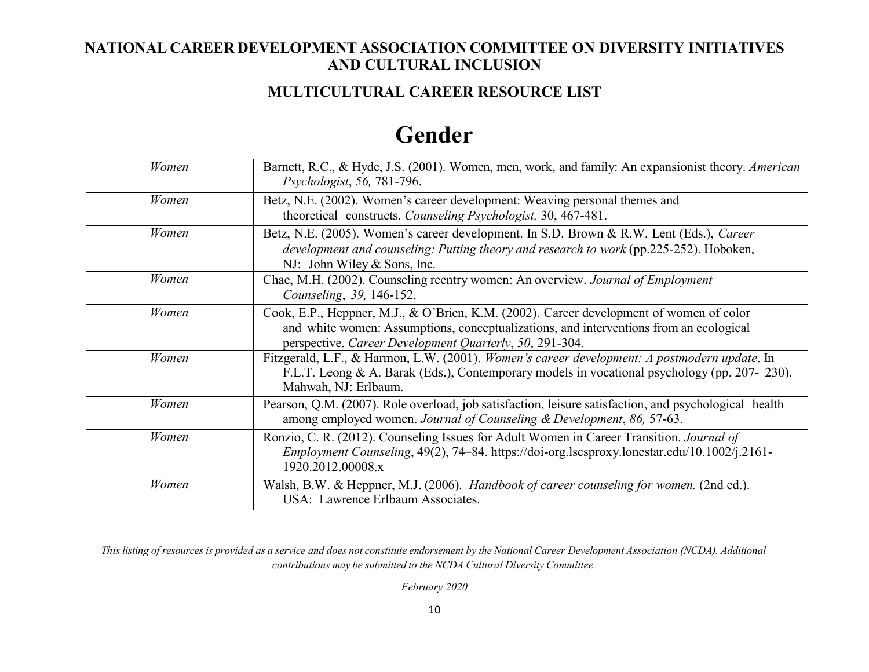#### **MULTICULTURAL CAREER RESOURCE LIST**

### **Gender**

| Women | Barnett, R.C., & Hyde, J.S. (2001). Women, men, work, and family: An expansionist theory. American<br>Psychologist, 56, 781-796.                                                                                                             |
|-------|----------------------------------------------------------------------------------------------------------------------------------------------------------------------------------------------------------------------------------------------|
| Women | Betz, N.E. (2002). Women's career development: Weaving personal themes and<br>theoretical constructs. Counseling Psychologist, 30, 467-481.                                                                                                  |
| Women | Betz, N.E. (2005). Women's career development. In S.D. Brown & R.W. Lent (Eds.), Career<br>development and counseling: Putting theory and research to work (pp.225-252). Hoboken,<br>NJ: John Wiley & Sons, Inc.                             |
| Women | Chae, M.H. (2002). Counseling reentry women: An overview. Journal of Employment<br>Counseling, 39, 146-152.                                                                                                                                  |
| Women | Cook, E.P., Heppner, M.J., & O'Brien, K.M. (2002). Career development of women of color<br>and white women: Assumptions, conceptualizations, and interventions from an ecological<br>perspective. Career Development Quarterly, 50, 291-304. |
| Women | Fitzgerald, L.F., & Harmon, L.W. (2001). Women's career development: A postmodern update. In<br>F.L.T. Leong & A. Barak (Eds.), Contemporary models in vocational psychology (pp. 207-230).<br>Mahwah, NJ: Erlbaum.                          |
| Women | Pearson, Q.M. (2007). Role overload, job satisfaction, leisure satisfaction, and psychological health<br>among employed women. Journal of Counseling & Development, 86, 57-63.                                                               |
| Women | Ronzio, C. R. (2012). Counseling Issues for Adult Women in Career Transition. Journal of<br><i>Employment Counseling</i> , 49(2), 74–84. https://doi-org.lscsproxy.lonestar.edu/10.1002/j.2161-<br>1920.2012.00008.x                         |
| Women | Walsh, B.W. & Heppner, M.J. (2006). Handbook of career counseling for women. (2nd ed.).<br>USA: Lawrence Erlbaum Associates.                                                                                                                 |

This listing of resources is provided as a service and does not constitute endorsement by the National Career Development Association (NCDA). Additional *contributions may be submitted to the NCDA Cultural Diversity Committee.*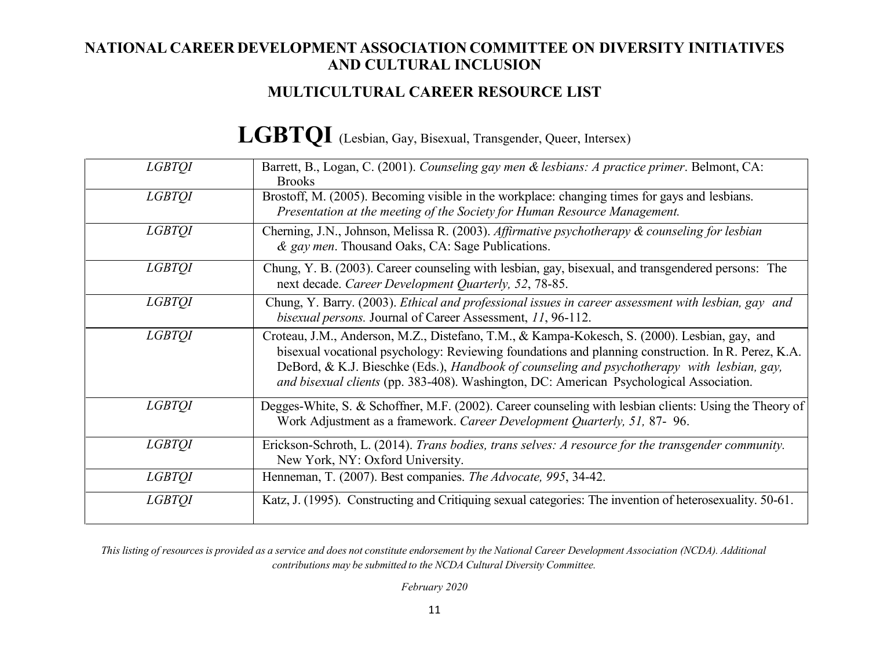### **MULTICULTURAL CAREER RESOURCE LIST**

| <i>LGBTQI</i> | Barrett, B., Logan, C. (2001). Counseling gay men & lesbians: A practice primer. Belmont, CA:<br><b>Brooks</b>                                                                                                                                                                                                                                                                                |
|---------------|-----------------------------------------------------------------------------------------------------------------------------------------------------------------------------------------------------------------------------------------------------------------------------------------------------------------------------------------------------------------------------------------------|
| <i>LGBTQI</i> | Brostoff, M. (2005). Becoming visible in the workplace: changing times for gays and lesbians.<br>Presentation at the meeting of the Society for Human Resource Management.                                                                                                                                                                                                                    |
| <i>LGBTQI</i> | Cherning, J.N., Johnson, Melissa R. (2003). Affirmative psychotherapy & counseling for lesbian<br>& gay men. Thousand Oaks, CA: Sage Publications.                                                                                                                                                                                                                                            |
| <i>LGBTQI</i> | Chung, Y. B. (2003). Career counseling with lesbian, gay, bisexual, and transgendered persons: The<br>next decade. Career Development Quarterly, 52, 78-85.                                                                                                                                                                                                                                   |
| <b>LGBTQI</b> | Chung, Y. Barry. (2003). <i>Ethical and professional issues in career assessment with lesbian, gay and</i><br>bisexual persons. Journal of Career Assessment, 11, 96-112.                                                                                                                                                                                                                     |
| <b>LGBTQI</b> | Croteau, J.M., Anderson, M.Z., Distefano, T.M., & Kampa-Kokesch, S. (2000). Lesbian, gay, and<br>bisexual vocational psychology: Reviewing foundations and planning construction. In R. Perez, K.A.<br>DeBord, & K.J. Bieschke (Eds.), Handbook of counseling and psychotherapy with lesbian, gay,<br>and bisexual clients (pp. 383-408). Washington, DC: American Psychological Association. |
| <i>LGBTQI</i> | Degges-White, S. & Schoffner, M.F. (2002). Career counseling with lesbian clients: Using the Theory of<br>Work Adjustment as a framework. Career Development Quarterly, 51, 87- 96.                                                                                                                                                                                                           |
| <i>LGBTOI</i> | Erickson-Schroth, L. (2014). Trans bodies, trans selves: A resource for the transgender community.<br>New York, NY: Oxford University.                                                                                                                                                                                                                                                        |
| <i>LGBTQI</i> | Henneman, T. (2007). Best companies. The Advocate, 995, 34-42.                                                                                                                                                                                                                                                                                                                                |
| <i>LGBTQI</i> | Katz, J. (1995). Constructing and Critiquing sexual categories: The invention of heterosexuality. 50-61.                                                                                                                                                                                                                                                                                      |

### **LGBTQI** (Lesbian, Gay, Bisexual, Transgender, Queer, Intersex)

This listing of resources is provided as a service and does not constitute endorsement by the National Career Development Association (NCDA). Additional *contributions may be submitted to the NCDA Cultural Diversity Committee.*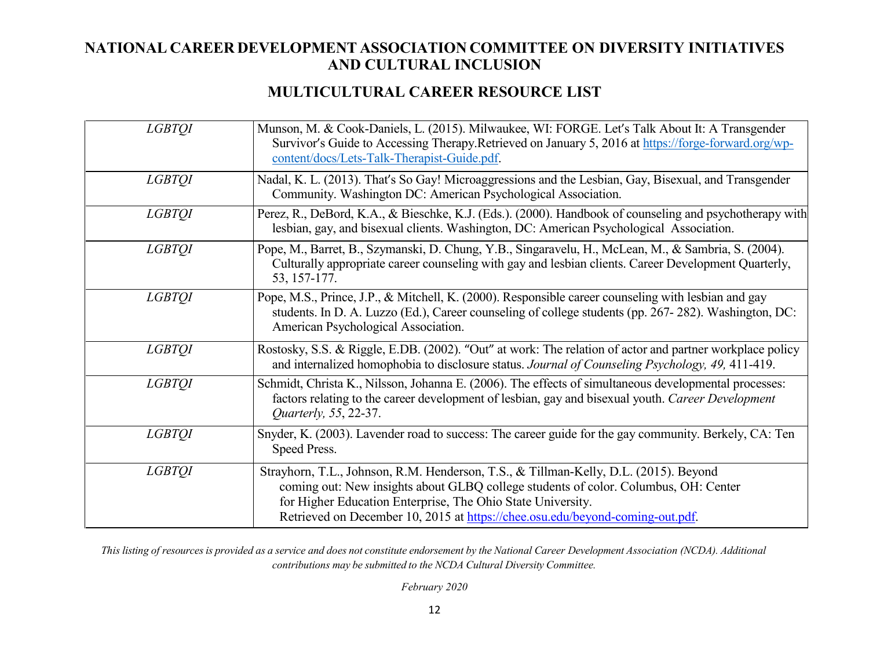#### **MULTICULTURAL CAREER RESOURCE LIST**

| <b>LGBTQI</b> | Munson, M. & Cook-Daniels, L. (2015). Milwaukee, WI: FORGE. Let's Talk About It: A Transgender<br>Survivor's Guide to Accessing Therapy. Retrieved on January 5, 2016 at https://forge-forward.org/wp-<br>content/docs/Lets-Talk-Therapist-Guide.pdf.                                                                       |
|---------------|-----------------------------------------------------------------------------------------------------------------------------------------------------------------------------------------------------------------------------------------------------------------------------------------------------------------------------|
| <b>LGBTQI</b> | Nadal, K. L. (2013). That's So Gay! Microaggressions and the Lesbian, Gay, Bisexual, and Transgender<br>Community. Washington DC: American Psychological Association.                                                                                                                                                       |
| <b>LGBTQI</b> | Perez, R., DeBord, K.A., & Bieschke, K.J. (Eds.). (2000). Handbook of counseling and psychotherapy with<br>lesbian, gay, and bisexual clients. Washington, DC: American Psychological Association.                                                                                                                          |
| <b>LGBTQI</b> | Pope, M., Barret, B., Szymanski, D. Chung, Y.B., Singaravelu, H., McLean, M., & Sambria, S. (2004).<br>Culturally appropriate career counseling with gay and lesbian clients. Career Development Quarterly,<br>53, 157-177.                                                                                                 |
| <b>LGBTQI</b> | Pope, M.S., Prince, J.P., & Mitchell, K. (2000). Responsible career counseling with lesbian and gay<br>students. In D. A. Luzzo (Ed.), Career counseling of college students (pp. 267-282). Washington, DC:<br>American Psychological Association.                                                                          |
| <b>LGBTQI</b> | Rostosky, S.S. & Riggle, E.DB. (2002). "Out" at work: The relation of actor and partner workplace policy<br>and internalized homophobia to disclosure status. Journal of Counseling Psychology, 49, 411-419.                                                                                                                |
| <b>LGBTQI</b> | Schmidt, Christa K., Nilsson, Johanna E. (2006). The effects of simultaneous developmental processes:<br>factors relating to the career development of lesbian, gay and bisexual youth. Career Development<br>Ouarterly, 55, 22-37.                                                                                         |
| <b>LGBTQI</b> | Snyder, K. (2003). Lavender road to success: The career guide for the gay community. Berkely, CA: Ten<br>Speed Press.                                                                                                                                                                                                       |
| <b>LGBTQI</b> | Strayhorn, T.L., Johnson, R.M. Henderson, T.S., & Tillman-Kelly, D.L. (2015). Beyond<br>coming out: New insights about GLBQ college students of color. Columbus, OH: Center<br>for Higher Education Enterprise, The Ohio State University.<br>Retrieved on December 10, 2015 at https://chee.osu.edu/beyond-coming-out.pdf. |

This listing of resources is provided as a service and does not constitute endorsement by the National Career Development Association (NCDA). Additional *contributions may be submitted to the NCDA Cultural Diversity Committee.*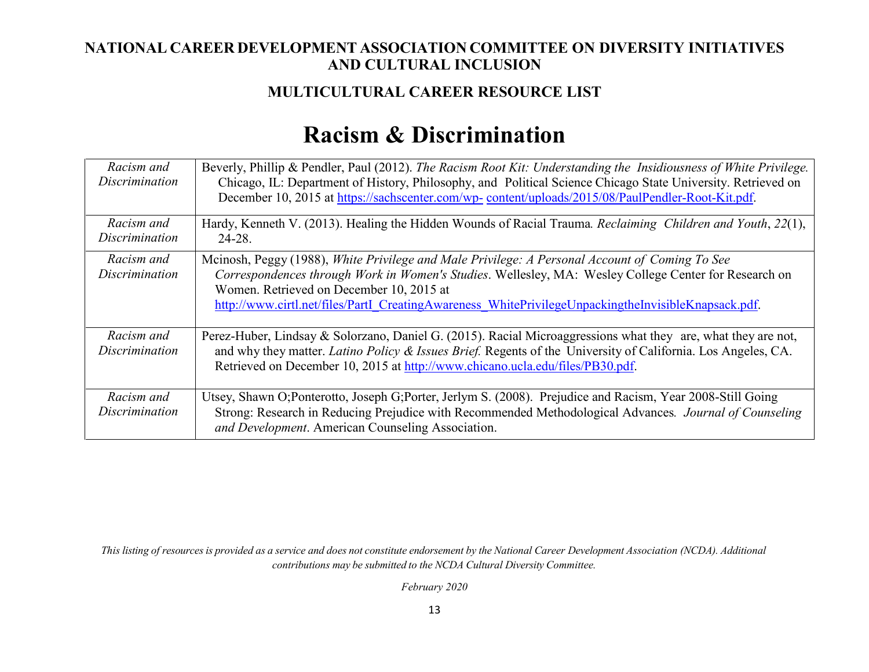### **MULTICULTURAL CAREER RESOURCE LIST**

### **Racism & Discrimination**

| Racism and<br>Discrimination | Beverly, Phillip & Pendler, Paul (2012). The Racism Root Kit: Understanding the Insidiousness of White Privilege.<br>Chicago, IL: Department of History, Philosophy, and Political Science Chicago State University. Retrieved on<br>December 10, 2015 at https://sachscenter.com/wp-content/uploads/2015/08/PaulPendler-Root-Kit.pdf.                     |
|------------------------------|------------------------------------------------------------------------------------------------------------------------------------------------------------------------------------------------------------------------------------------------------------------------------------------------------------------------------------------------------------|
| Racism and<br>Discrimination | Hardy, Kenneth V. (2013). Healing the Hidden Wounds of Racial Trauma. Reclaiming Children and Youth, 22(1),<br>24-28.                                                                                                                                                                                                                                      |
| Racism and<br>Discrimination | Mcinosh, Peggy (1988), White Privilege and Male Privilege: A Personal Account of Coming To See<br>Correspondences through Work in Women's Studies. Wellesley, MA: Wesley College Center for Research on<br>Women. Retrieved on December 10, 2015 at<br>http://www.cirtl.net/files/PartI CreatingAwareness WhitePrivilegeUnpackingtheInvisibleKnapsack.pdf. |
| Racism and<br>Discrimination | Perez-Huber, Lindsay & Solorzano, Daniel G. (2015). Racial Microaggressions what they are, what they are not,<br>and why they matter. Latino Policy & Issues Brief. Regents of the University of California. Los Angeles, CA.<br>Retrieved on December 10, 2015 at http://www.chicano.ucla.edu/files/PB30.pdf.                                             |
| Racism and<br>Discrimination | Utsey, Shawn O;Ponterotto, Joseph G;Porter, Jerlym S. (2008). Prejudice and Racism, Year 2008-Still Going<br>Strong: Research in Reducing Prejudice with Recommended Methodological Advances. Journal of Counseling<br>and Development. American Counseling Association.                                                                                   |

This listing of resources is provided as a service and does not constitute endorsement by the National Career Development Association (NCDA). Additional *contributions may be submitted to the NCDA Cultural Diversity Committee.*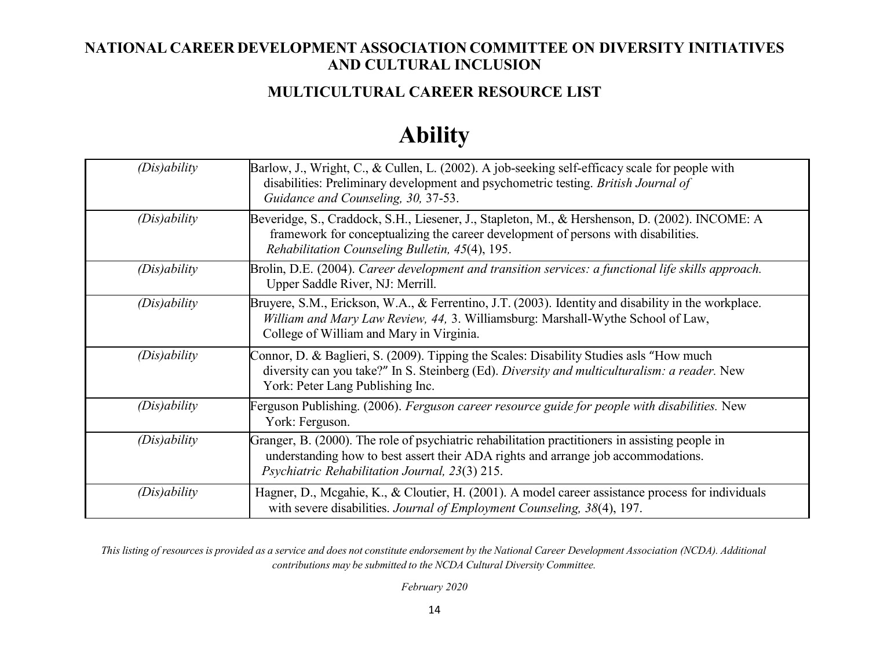### **MULTICULTURAL CAREER RESOURCE LIST**

# **Ability**

| (Dis)ability           | Barlow, J., Wright, C., & Cullen, L. (2002). A job-seeking self-efficacy scale for people with<br>disabilities: Preliminary development and psychometric testing. British Journal of<br>Guidance and Counseling, 30, 37-53.             |
|------------------------|-----------------------------------------------------------------------------------------------------------------------------------------------------------------------------------------------------------------------------------------|
| (Dis)ability           | Beveridge, S., Craddock, S.H., Liesener, J., Stapleton, M., & Hershenson, D. (2002). INCOME: A<br>framework for conceptualizing the career development of persons with disabilities.<br>Rehabilitation Counseling Bulletin, 45(4), 195. |
| (Dis)ability           | Brolin, D.E. (2004). Career development and transition services: a functional life skills approach.<br>Upper Saddle River, NJ: Merrill.                                                                                                 |
| (Dis)ability           | Bruyere, S.M., Erickson, W.A., & Ferrentino, J.T. (2003). Identity and disability in the workplace.<br>William and Mary Law Review, 44, 3. Williamsburg: Marshall-Wythe School of Law,<br>College of William and Mary in Virginia.      |
| $(Dis)$ <i>ability</i> | Connor, D. & Baglieri, S. (2009). Tipping the Scales: Disability Studies asls "How much<br>diversity can you take?" In S. Steinberg (Ed). Diversity and multiculturalism: a reader. New<br>York: Peter Lang Publishing Inc.             |
| (Dis)ability           | Ferguson Publishing. (2006). Ferguson career resource guide for people with disabilities. New<br>York: Ferguson.                                                                                                                        |
| (Dis)ability           | Granger, B. (2000). The role of psychiatric rehabilitation practitioners in assisting people in<br>understanding how to best assert their ADA rights and arrange job accommodations.<br>Psychiatric Rehabilitation Journal, 23(3) 215.  |
| (Dis)ability           | Hagner, D., Mcgahie, K., & Cloutier, H. (2001). A model career assistance process for individuals<br>with severe disabilities. Journal of Employment Counseling, 38(4), 197.                                                            |

This listing of resources is provided as a service and does not constitute endorsement by the National Career Development Association (NCDA). Additional *contributions may be submitted to the NCDA Cultural Diversity Committee.*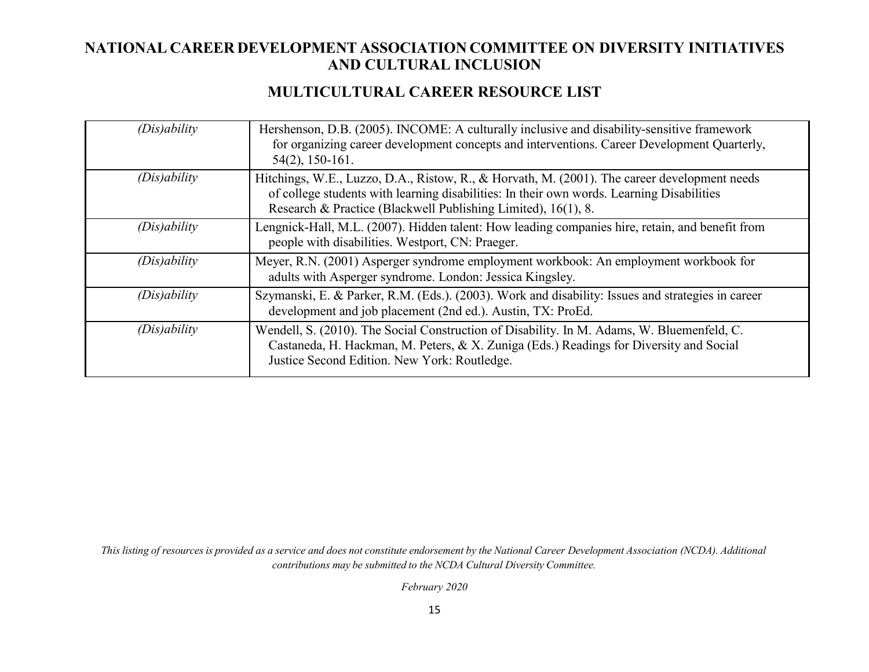#### **MULTICULTURAL CAREER RESOURCE LIST**

| (Dis)ability | Hershenson, D.B. (2005). INCOME: A culturally inclusive and disability-sensitive framework<br>for organizing career development concepts and interventions. Career Development Quarterly,<br>$54(2)$ , 150-161.                                            |
|--------------|------------------------------------------------------------------------------------------------------------------------------------------------------------------------------------------------------------------------------------------------------------|
| (Dis)ability | Hitchings, W.E., Luzzo, D.A., Ristow, R., & Horvath, M. (2001). The career development needs<br>of college students with learning disabilities: In their own words. Learning Disabilities<br>Research & Practice (Blackwell Publishing Limited), 16(1), 8. |
| (Dis)ability | Lengnick-Hall, M.L. (2007). Hidden talent: How leading companies hire, retain, and benefit from<br>people with disabilities. Westport, CN: Praeger.                                                                                                        |
| (Dis)ability | Meyer, R.N. (2001) Asperger syndrome employment workbook: An employment workbook for<br>adults with Asperger syndrome. London: Jessica Kingsley.                                                                                                           |
| (Dis)ability | Szymanski, E. & Parker, R.M. (Eds.). (2003). Work and disability: Issues and strategies in career<br>development and job placement (2nd ed.). Austin, TX: ProEd.                                                                                           |
| (Dis)ability | Wendell, S. (2010). The Social Construction of Disability. In M. Adams, W. Bluemenfeld, C.<br>Castaneda, H. Hackman, M. Peters, & X. Zuniga (Eds.) Readings for Diversity and Social<br>Justice Second Edition. New York: Routledge.                       |

This listing of resources is provided as a service and does not constitute endorsement by the National Career Development Association (NCDA). Additional *contributions may be submitted to the NCDA Cultural Diversity Committee.*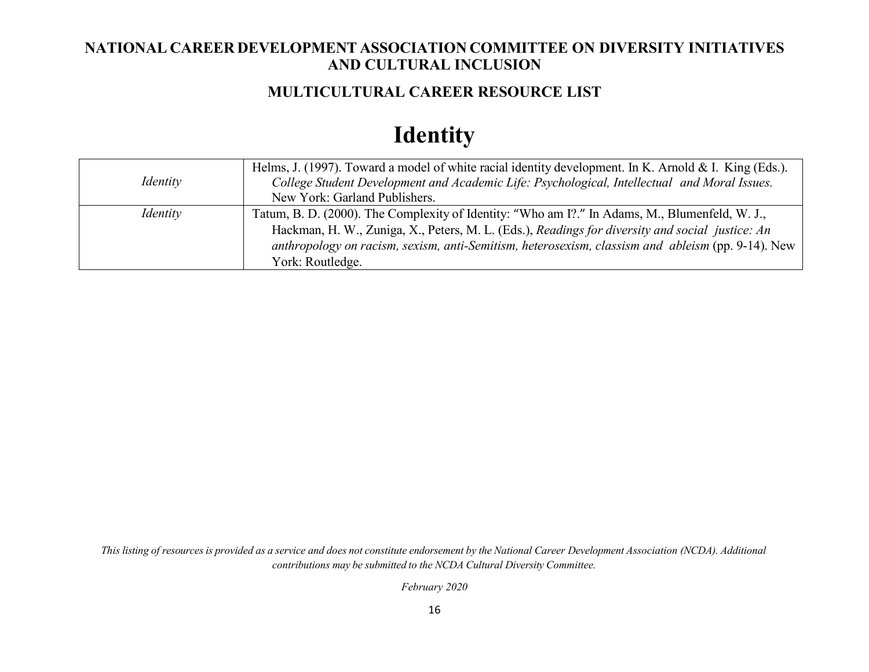#### **MULTICULTURAL CAREER RESOURCE LIST**

## **Identity**

|                 | Helms, J. (1997). Toward a model of white racial identity development. In K. Arnold & I. King (Eds.). |
|-----------------|-------------------------------------------------------------------------------------------------------|
| <i>Identity</i> | College Student Development and Academic Life: Psychological, Intellectual and Moral Issues.          |
|                 | New York: Garland Publishers.                                                                         |
| <i>Identity</i> | Tatum, B. D. (2000). The Complexity of Identity: "Who am I?." In Adams, M., Blumenfeld, W. J.,        |
|                 | Hackman, H. W., Zuniga, X., Peters, M. L. (Eds.), Readings for diversity and social justice: An       |
|                 | anthropology on racism, sexism, anti-Semitism, heterosexism, classism and ableism (pp. 9-14). New     |
|                 | York: Routledge.                                                                                      |

This listing of resources is provided as a service and does not constitute endorsement by the National Career Development Association (NCDA). Additional *contributions may be submitted to the NCDA Cultural Diversity Committee.*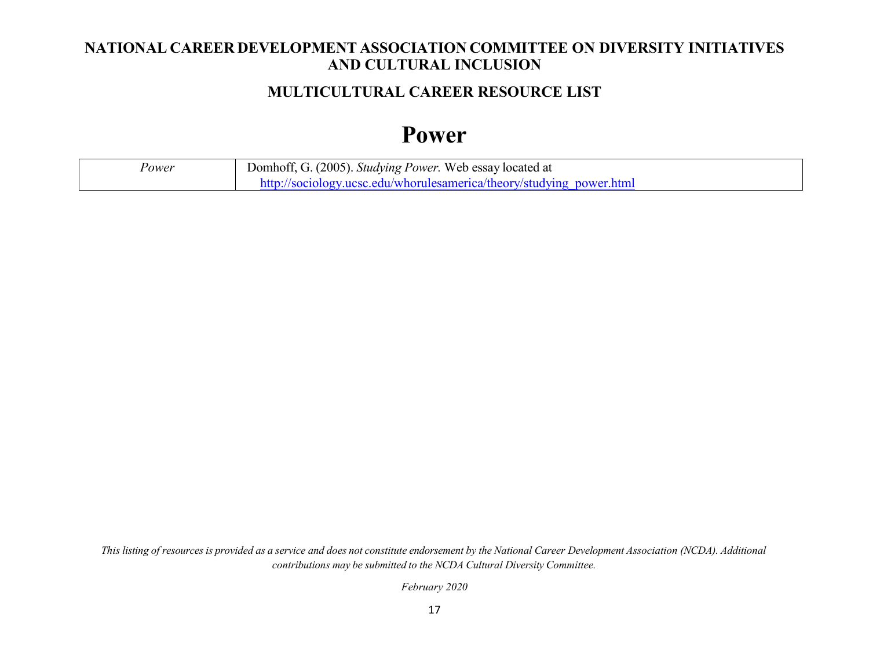#### **MULTICULTURAL CAREER RESOURCE LIST**

### **Power**

| Power | Domhoff, G. (2005). Studying Power. Web essay located at             |
|-------|----------------------------------------------------------------------|
|       | http://sociology.ucsc.edu/whorulesamerica/theory/studying power.html |

This listing of resources is provided as a service and does not constitute endorsement by the National Career Development Association (NCDA). Additional *contributions may be submitted to the NCDA Cultural Diversity Committee.*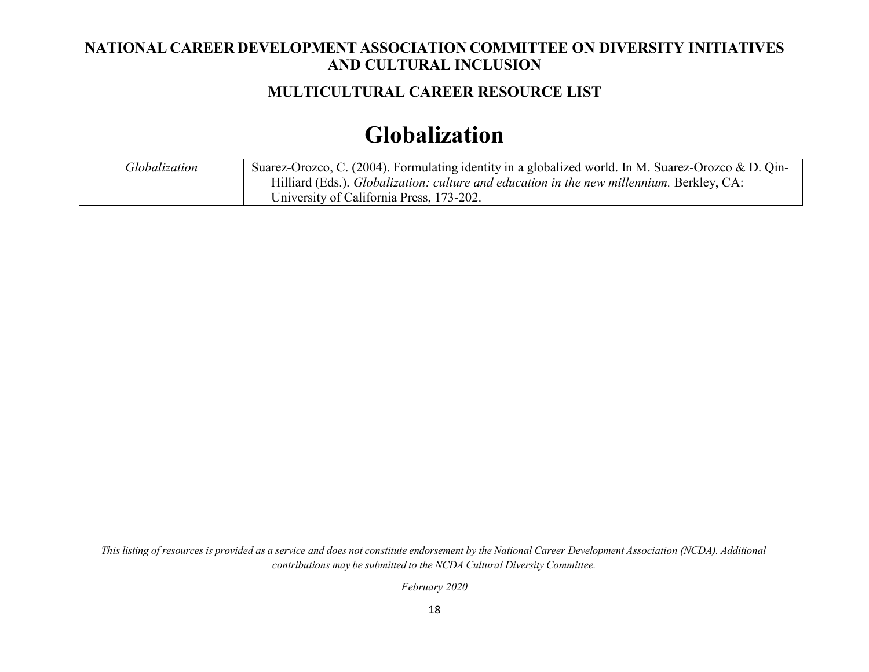#### **MULTICULTURAL CAREER RESOURCE LIST**

### **Globalization**

| Globalization | Suarez-Orozco, C. (2004). Formulating identity in a globalized world. In M. Suarez-Orozco & D. Qin- |
|---------------|-----------------------------------------------------------------------------------------------------|
|               | Hilliard (Eds.). Globalization: culture and education in the new millennium. Berkley, CA:           |
|               | University of California Press, 173-202.                                                            |

This listing of resources is provided as a service and does not constitute endorsement by the National Career Development Association (NCDA). Additional *contributions may be submitted to the NCDA Cultural Diversity Committee.*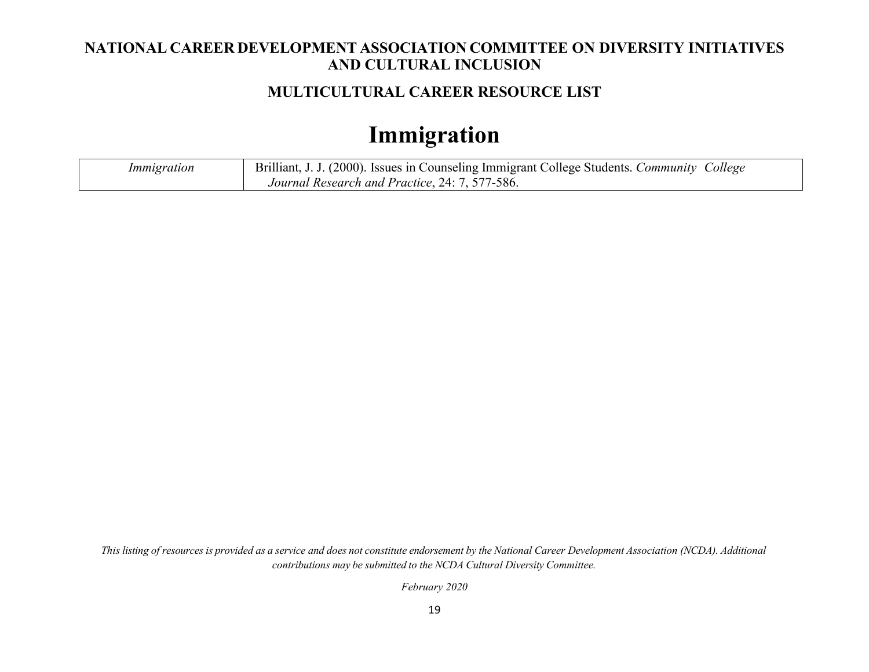#### **MULTICULTURAL CAREER RESOURCE LIST**

## **Immigration**

| Immigration | Brilliant, J. J. (2000). Issues in Counseling Immigrant College Students. Community College |
|-------------|---------------------------------------------------------------------------------------------|
|             | Journal Research and Practice, 24: 7, 577-586.                                              |

This listing of resources is provided as a service and does not constitute endorsement by the National Career Development Association (NCDA). Additional *contributions may be submitted to the NCDA Cultural Diversity Committee.*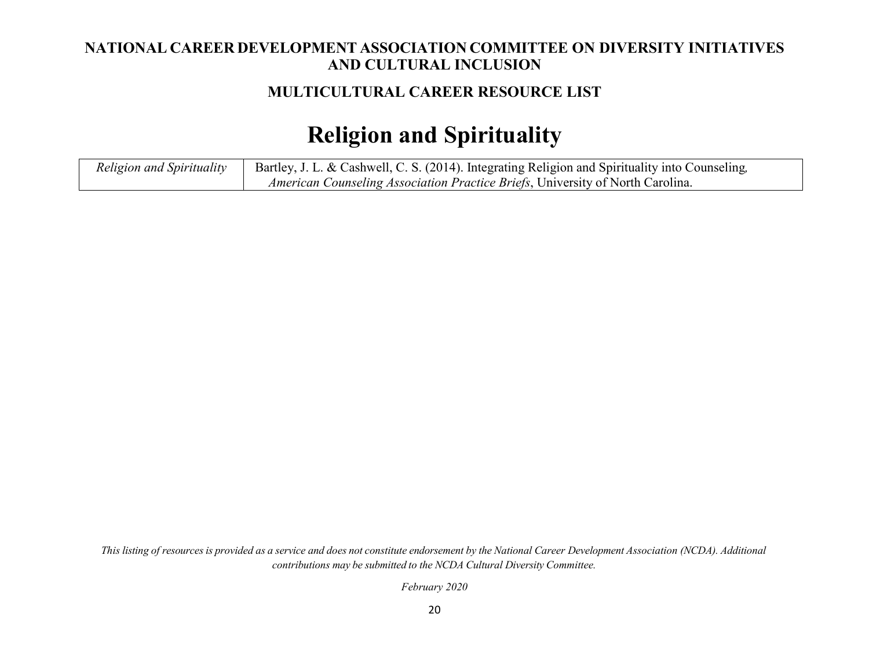#### **MULTICULTURAL CAREER RESOURCE LIST**

# **Religion and Spirituality**

| Religion and Spirituality | Bartley, J. L. & Cashwell, C. S. (2014). Integrating Religion and Spirituality into Counseling, |
|---------------------------|-------------------------------------------------------------------------------------------------|
|                           | <i>American Counseling Association Practice Briefs</i> , University of North Carolina.          |

This listing of resources is provided as a service and does not constitute endorsement by the National Career Development Association (NCDA). Additional *contributions may be submitted to the NCDA Cultural Diversity Committee.*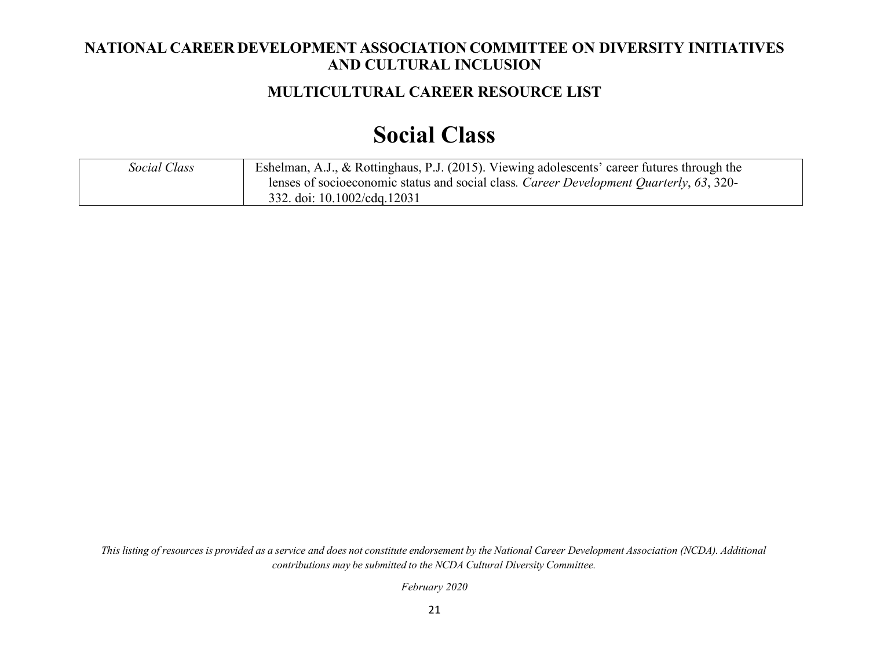#### **MULTICULTURAL CAREER RESOURCE LIST**

### **Social Class**

| Social Class | Eshelman, A.J., & Rottinghaus, P.J. (2015). Viewing adolescents' career futures through the |
|--------------|---------------------------------------------------------------------------------------------|
|              | lenses of socioeconomic status and social class. Career Development Quarterly, 63, 320-     |
|              | 332. doi: 10.1002/cdq.12031                                                                 |

This listing of resources is provided as a service and does not constitute endorsement by the National Career Development Association (NCDA). Additional *contributions may be submitted to the NCDA Cultural Diversity Committee.*